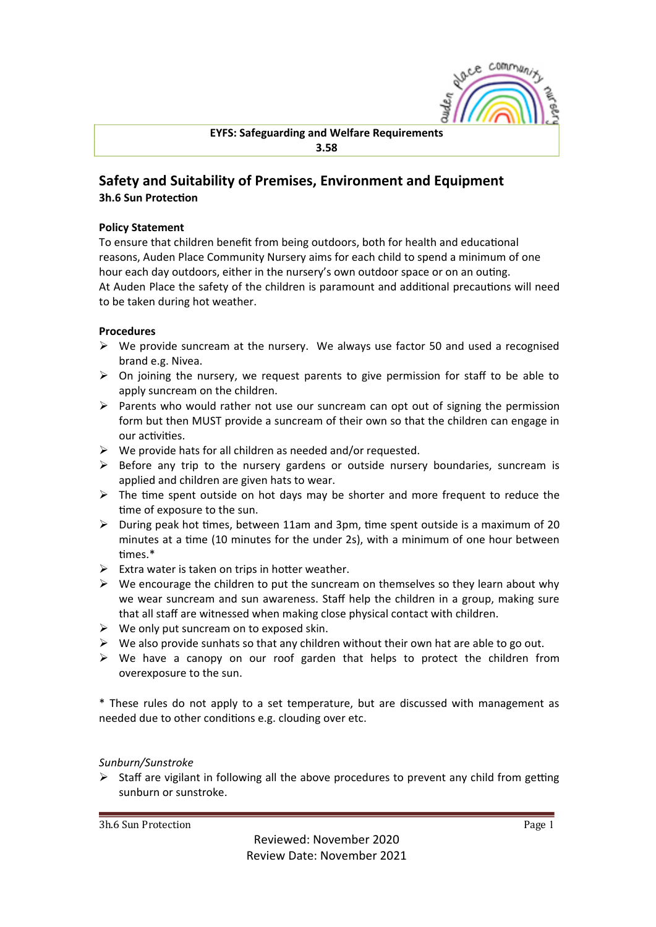

# Safety and Suitability of Premises, Environment and Equipment **3h.6 Sun Protection**

### **Policy Statement**

To ensure that children benefit from being outdoors, both for health and educational reasons, Auden Place Community Nursery aims for each child to spend a minimum of one hour each day outdoors, either in the nursery's own outdoor space or on an outing. At Auden Place the safety of the children is paramount and additional precautions will need to be taken during hot weather.

### **Procedures**

- $\triangleright$  We provide suncream at the nursery. We always use factor 50 and used a recognised brand e.g. Nivea.
- $\triangleright$  On joining the nursery, we request parents to give permission for staff to be able to apply suncream on the children.
- $\triangleright$  Parents who would rather not use our suncream can opt out of signing the permission form but then MUST provide a suncream of their own so that the children can engage in our activities.
- $\triangleright$  We provide hats for all children as needed and/or requested.
- $\triangleright$  Before any trip to the nursery gardens or outside nursery boundaries, suncream is applied and children are given hats to wear.
- $\triangleright$  The time spent outside on hot days may be shorter and more frequent to reduce the time of exposure to the sun.
- $\triangleright$  During peak hot times, between 11am and 3pm, time spent outside is a maximum of 20 minutes at a time (10 minutes for the under 2s), with a minimum of one hour between times<sup>\*</sup>
- $\triangleright$  Extra water is taken on trips in hotter weather.
- $\triangleright$  We encourage the children to put the suncream on themselves so they learn about why we wear suncream and sun awareness. Staff help the children in a group, making sure that all staff are witnessed when making close physical contact with children.
- $\triangleright$  We only put suncream on to exposed skin.
- $\triangleright$  We also provide sunhats so that any children without their own hat are able to go out.
- $\triangleright$  We have a canopy on our roof garden that helps to protect the children from overexposure to the sun.

\* These rules do not apply to a set temperature, but are discussed with management as needed due to other conditions e.g. clouding over etc.

#### *Sunburn/Sunstroke*

 $\triangleright$  Staff are vigilant in following all the above procedures to prevent any child from getting sunburn or sunstroke.